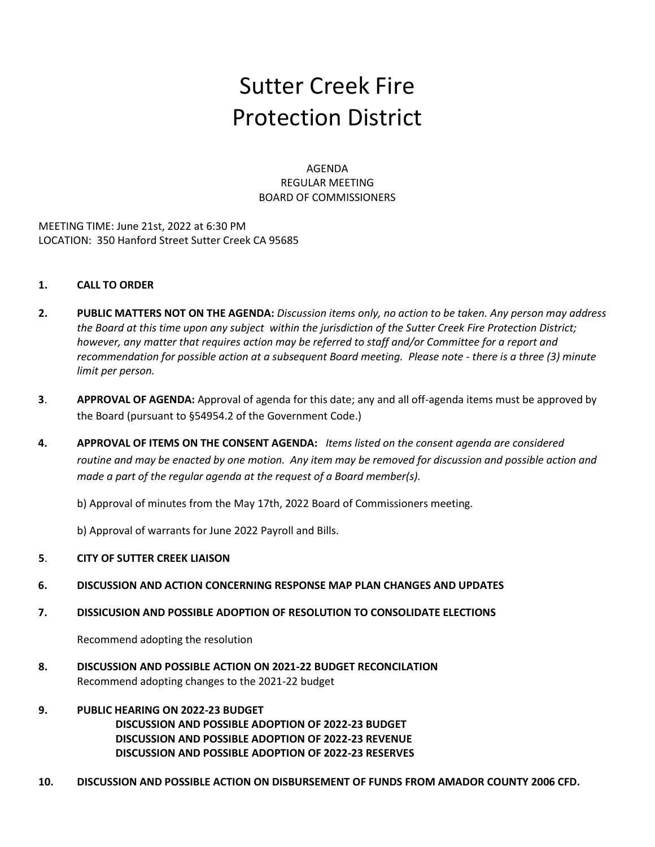# Sutter Creek Fire Protection District

AGENDA REGULAR MEETING BOARD OF COMMISSIONERS

MEETING TIME: June 21st, 2022 at 6:30 PM LOCATION: 350 Hanford Street Sutter Creek CA 95685

# **1. CALL TO ORDER**

- **2. PUBLIC MATTERS NOT ON THE AGENDA:** *Discussion items only, no action to be taken. Any person may address the Board at this time upon any subject within the jurisdiction of the Sutter Creek Fire Protection District; however, any matter that requires action may be referred to staff and/or Committee for a report and recommendation for possible action at a subsequent Board meeting. Please note - there is a three (3) minute limit per person.*
- **3**. **APPROVAL OF AGENDA:** Approval of agenda for this date; any and all off-agenda items must be approved by the Board (pursuant to §54954.2 of the Government Code.)
- **4. APPROVAL OF ITEMS ON THE CONSENT AGENDA:** *Items listed on the consent agenda are considered routine and may be enacted by one motion. Any item may be removed for discussion and possible action and made a part of the regular agenda at the request of a Board member(s).*

b) Approval of minutes from the May 17th, 2022 Board of Commissioners meeting.

b) Approval of warrants for June 2022 Payroll and Bills.

## **5**. **CITY OF SUTTER CREEK LIAISON**

- **6. DISCUSSION AND ACTION CONCERNING RESPONSE MAP PLAN CHANGES AND UPDATES**
- **7. DISSICUSION AND POSSIBLE ADOPTION OF RESOLUTION TO CONSOLIDATE ELECTIONS**

Recommend adopting the resolution

- **8. DISCUSSION AND POSSIBLE ACTION ON 2021-22 BUDGET RECONCILATION** Recommend adopting changes to the 2021-22 budget
- **9. PUBLIC HEARING ON 2022-23 BUDGET DISCUSSION AND POSSIBLE ADOPTION OF 2022-23 BUDGET DISCUSSION AND POSSIBLE ADOPTION OF 2022-23 REVENUE DISCUSSION AND POSSIBLE ADOPTION OF 2022-23 RESERVES**
- **10. DISCUSSION AND POSSIBLE ACTION ON DISBURSEMENT OF FUNDS FROM AMADOR COUNTY 2006 CFD.**